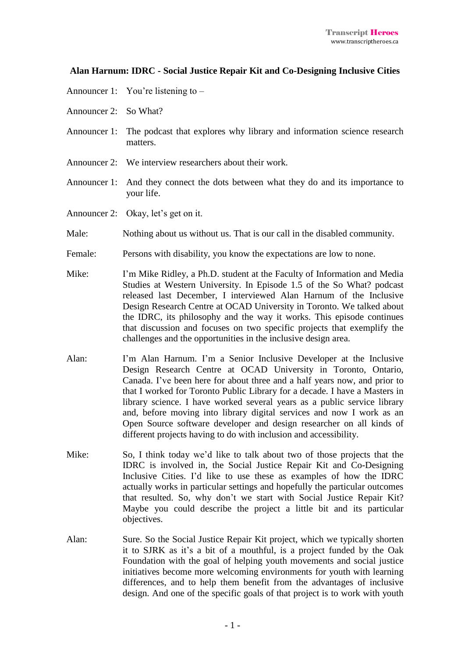## **Alan Harnum: IDRC - Social Justice Repair Kit and Co-Designing Inclusive Cities**

- Announcer 1: You're listening to –
- Announcer 2: So What?
- Announcer 1: The podcast that explores why library and information science research matters.
- Announcer 2: We interview researchers about their work.
- Announcer 1: And they connect the dots between what they do and its importance to your life.
- Announcer 2: Okay, let's get on it.
- Male: Nothing about us without us. That is our call in the disabled community.
- Female: Persons with disability, you know the expectations are low to none.
- Mike: I'm Mike Ridley, a Ph.D. student at the Faculty of Information and Media Studies at Western University. In Episode 1.5 of the So What? podcast released last December, I interviewed Alan Harnum of the Inclusive Design Research Centre at OCAD University in Toronto. We talked about the IDRC, its philosophy and the way it works. This episode continues that discussion and focuses on two specific projects that exemplify the challenges and the opportunities in the inclusive design area.
- Alan: I'm Alan Harnum. I'm a Senior Inclusive Developer at the Inclusive Design Research Centre at OCAD University in Toronto, Ontario, Canada. I've been here for about three and a half years now, and prior to that I worked for Toronto Public Library for a decade. I have a Masters in library science. I have worked several years as a public service library and, before moving into library digital services and now I work as an Open Source software developer and design researcher on all kinds of different projects having to do with inclusion and accessibility.
- Mike: So, I think today we'd like to talk about two of those projects that the IDRC is involved in, the Social Justice Repair Kit and Co-Designing Inclusive Cities. I'd like to use these as examples of how the IDRC actually works in particular settings and hopefully the particular outcomes that resulted. So, why don't we start with Social Justice Repair Kit? Maybe you could describe the project a little bit and its particular objectives.
- Alan: Sure. So the Social Justice Repair Kit project, which we typically shorten it to SJRK as it's a bit of a mouthful, is a project funded by the Oak Foundation with the goal of helping youth movements and social justice initiatives become more welcoming environments for youth with learning differences, and to help them benefit from the advantages of inclusive design. And one of the specific goals of that project is to work with youth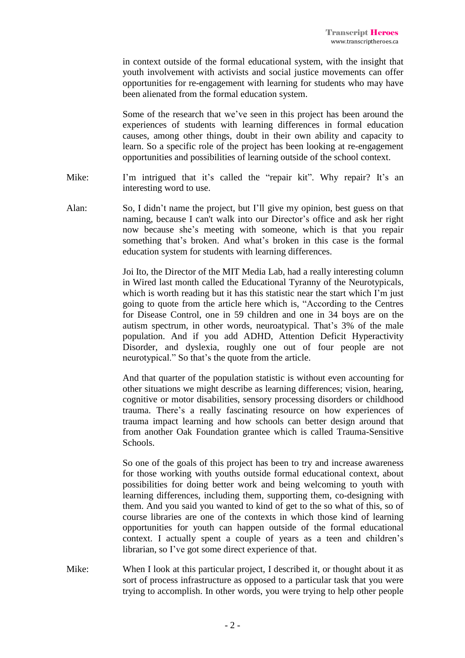in context outside of the formal educational system, with the insight that youth involvement with activists and social justice movements can offer opportunities for re-engagement with learning for students who may have been alienated from the formal education system.

Some of the research that we've seen in this project has been around the experiences of students with learning differences in formal education causes, among other things, doubt in their own ability and capacity to learn. So a specific role of the project has been looking at re-engagement opportunities and possibilities of learning outside of the school context.

- Mike: I'm intrigued that it's called the "repair kit". Why repair? It's an interesting word to use.
- Alan: So, I didn't name the project, but I'll give my opinion, best guess on that naming, because I can't walk into our Director's office and ask her right now because she's meeting with someone, which is that you repair something that's broken. And what's broken in this case is the formal education system for students with learning differences.

Joi Ito, the Director of the MIT Media Lab, had a really interesting column in Wired last month called the Educational Tyranny of the Neurotypicals, which is worth reading but it has this statistic near the start which I'm just going to quote from the article here which is, "According to the Centres for Disease Control, one in 59 children and one in 34 boys are on the autism spectrum, in other words, neuroatypical. That's 3% of the male population. And if you add ADHD, Attention Deficit Hyperactivity Disorder, and dyslexia, roughly one out of four people are not neurotypical." So that's the quote from the article.

And that quarter of the population statistic is without even accounting for other situations we might describe as learning differences; vision, hearing, cognitive or motor disabilities, sensory processing disorders or childhood trauma. There's a really fascinating resource on how experiences of trauma impact learning and how schools can better design around that from another Oak Foundation grantee which is called Trauma-Sensitive Schools.

So one of the goals of this project has been to try and increase awareness for those working with youths outside formal educational context, about possibilities for doing better work and being welcoming to youth with learning differences, including them, supporting them, co-designing with them. And you said you wanted to kind of get to the so what of this, so of course libraries are one of the contexts in which those kind of learning opportunities for youth can happen outside of the formal educational context. I actually spent a couple of years as a teen and children's librarian, so I've got some direct experience of that.

Mike: When I look at this particular project, I described it, or thought about it as sort of process infrastructure as opposed to a particular task that you were trying to accomplish. In other words, you were trying to help other people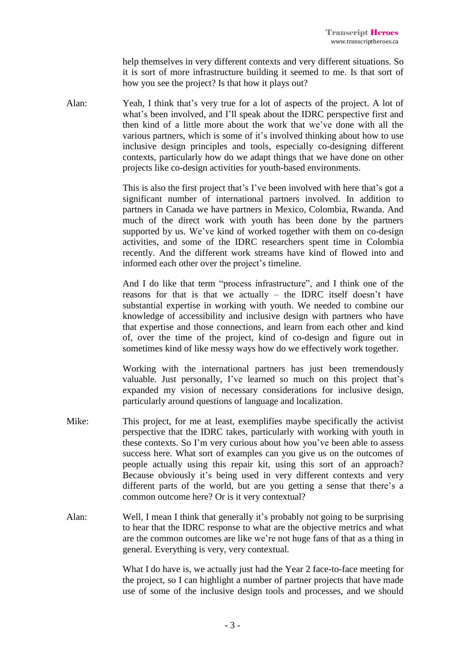help themselves in very different contexts and very different situations. So it is sort of more infrastructure building it seemed to me. Is that sort of how you see the project? Is that how it plays out?

Alan: Yeah, I think that's very true for a lot of aspects of the project. A lot of what's been involved, and I'll speak about the IDRC perspective first and then kind of a little more about the work that we've done with all the various partners, which is some of it's involved thinking about how to use inclusive design principles and tools, especially co-designing different contexts, particularly how do we adapt things that we have done on other projects like co-design activities for youth-based environments.

> This is also the first project that's I've been involved with here that's got a significant number of international partners involved. In addition to partners in Canada we have partners in Mexico, Colombia, Rwanda. And much of the direct work with youth has been done by the partners supported by us. We've kind of worked together with them on co-design activities, and some of the IDRC researchers spent time in Colombia recently. And the different work streams have kind of flowed into and informed each other over the project's timeline.

> And I do like that term "process infrastructure", and I think one of the reasons for that is that we actually – the IDRC itself doesn't have substantial expertise in working with youth. We needed to combine our knowledge of accessibility and inclusive design with partners who have that expertise and those connections, and learn from each other and kind of, over the time of the project, kind of co-design and figure out in sometimes kind of like messy ways how do we effectively work together.

> Working with the international partners has just been tremendously valuable. Just personally, I've learned so much on this project that's expanded my vision of necessary considerations for inclusive design, particularly around questions of language and localization.

- Mike: This project, for me at least, exemplifies maybe specifically the activist perspective that the IDRC takes, particularly with working with youth in these contexts. So I'm very curious about how you've been able to assess success here. What sort of examples can you give us on the outcomes of people actually using this repair kit, using this sort of an approach? Because obviously it's being used in very different contexts and very different parts of the world, but are you getting a sense that there's a common outcome here? Or is it very contextual?
- Alan: Well, I mean I think that generally it's probably not going to be surprising to hear that the IDRC response to what are the objective metrics and what are the common outcomes are like we're not huge fans of that as a thing in general. Everything is very, very contextual.

What I do have is, we actually just had the Year 2 face-to-face meeting for the project, so I can highlight a number of partner projects that have made use of some of the inclusive design tools and processes, and we should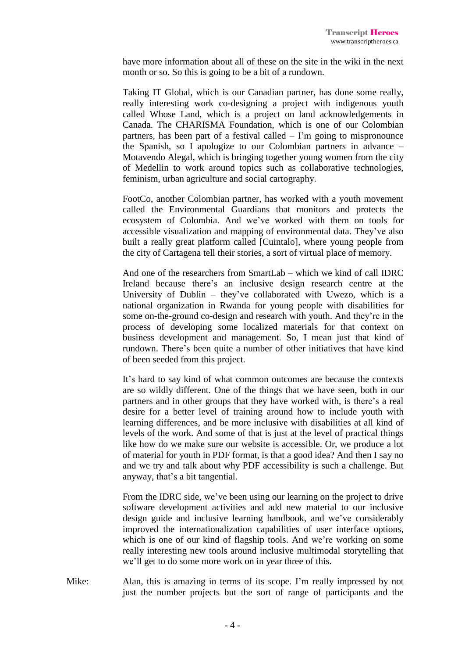have more information about all of these on the site in the wiki in the next month or so. So this is going to be a bit of a rundown.

Taking IT Global, which is our Canadian partner, has done some really, really interesting work co-designing a project with indigenous youth called Whose Land, which is a project on land acknowledgements in Canada. The CHARISMA Foundation, which is one of our Colombian partners, has been part of a festival called – I'm going to mispronounce the Spanish, so I apologize to our Colombian partners in advance – Motavendo Alegal, which is bringing together young women from the city of Medellin to work around topics such as collaborative technologies, feminism, urban agriculture and social cartography.

FootCo, another Colombian partner, has worked with a youth movement called the Environmental Guardians that monitors and protects the ecosystem of Colombia. And we've worked with them on tools for accessible visualization and mapping of environmental data. They've also built a really great platform called [Cuintalo], where young people from the city of Cartagena tell their stories, a sort of virtual place of memory.

And one of the researchers from SmartLab – which we kind of call IDRC Ireland because there's an inclusive design research centre at the University of Dublin – they've collaborated with Uwezo, which is a national organization in Rwanda for young people with disabilities for some on-the-ground co-design and research with youth. And they're in the process of developing some localized materials for that context on business development and management. So, I mean just that kind of rundown. There's been quite a number of other initiatives that have kind of been seeded from this project.

It's hard to say kind of what common outcomes are because the contexts are so wildly different. One of the things that we have seen, both in our partners and in other groups that they have worked with, is there's a real desire for a better level of training around how to include youth with learning differences, and be more inclusive with disabilities at all kind of levels of the work. And some of that is just at the level of practical things like how do we make sure our website is accessible. Or, we produce a lot of material for youth in PDF format, is that a good idea? And then I say no and we try and talk about why PDF accessibility is such a challenge. But anyway, that's a bit tangential.

From the IDRC side, we've been using our learning on the project to drive software development activities and add new material to our inclusive design guide and inclusive learning handbook, and we've considerably improved the internationalization capabilities of user interface options, which is one of our kind of flagship tools. And we're working on some really interesting new tools around inclusive multimodal storytelling that we'll get to do some more work on in year three of this.

Mike: Alan, this is amazing in terms of its scope. I'm really impressed by not just the number projects but the sort of range of participants and the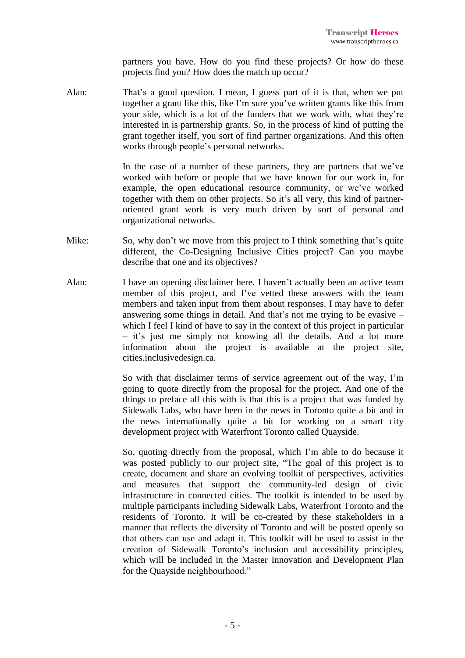partners you have. How do you find these projects? Or how do these projects find you? How does the match up occur?

Alan: That's a good question. I mean, I guess part of it is that, when we put together a grant like this, like I'm sure you've written grants like this from your side, which is a lot of the funders that we work with, what they're interested in is partnership grants. So, in the process of kind of putting the grant together itself, you sort of find partner organizations. And this often works through people's personal networks.

> In the case of a number of these partners, they are partners that we've worked with before or people that we have known for our work in, for example, the open educational resource community, or we've worked together with them on other projects. So it's all very, this kind of partneroriented grant work is very much driven by sort of personal and organizational networks.

- Mike: So, why don't we move from this project to I think something that's quite different, the Co-Designing Inclusive Cities project? Can you maybe describe that one and its objectives?
- Alan: I have an opening disclaimer here. I haven't actually been an active team member of this project, and I've vetted these answers with the team members and taken input from them about responses. I may have to defer answering some things in detail. And that's not me trying to be evasive – which I feel I kind of have to say in the context of this project in particular – it's just me simply not knowing all the details. And a lot more information about the project is available at the project site, cities.inclusivedesign.ca.

So with that disclaimer terms of service agreement out of the way, I'm going to quote directly from the proposal for the project. And one of the things to preface all this with is that this is a project that was funded by Sidewalk Labs, who have been in the news in Toronto quite a bit and in the news internationally quite a bit for working on a smart city development project with Waterfront Toronto called Quayside.

So, quoting directly from the proposal, which I'm able to do because it was posted publicly to our project site, "The goal of this project is to create, document and share an evolving toolkit of perspectives, activities and measures that support the community-led design of civic infrastructure in connected cities. The toolkit is intended to be used by multiple participants including Sidewalk Labs, Waterfront Toronto and the residents of Toronto. It will be co-created by these stakeholders in a manner that reflects the diversity of Toronto and will be posted openly so that others can use and adapt it. This toolkit will be used to assist in the creation of Sidewalk Toronto's inclusion and accessibility principles, which will be included in the Master Innovation and Development Plan for the Quayside neighbourhood."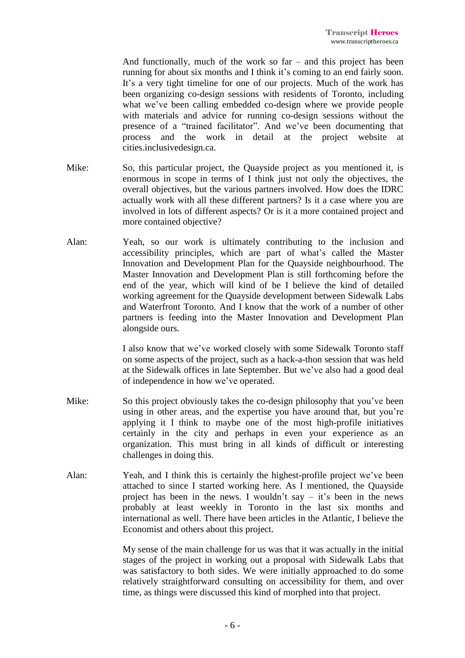And functionally, much of the work so far – and this project has been running for about six months and I think it's coming to an end fairly soon. It's a very tight timeline for one of our projects. Much of the work has been organizing co-design sessions with residents of Toronto, including what we've been calling embedded co-design where we provide people with materials and advice for running co-design sessions without the presence of a "trained facilitator". And we've been documenting that process and the work in detail at the project website at cities.inclusivedesign.ca.

- Mike: So, this particular project, the Quayside project as you mentioned it, is enormous in scope in terms of I think just not only the objectives, the overall objectives, but the various partners involved. How does the IDRC actually work with all these different partners? Is it a case where you are involved in lots of different aspects? Or is it a more contained project and more contained objective?
- Alan: Yeah, so our work is ultimately contributing to the inclusion and accessibility principles, which are part of what's called the Master Innovation and Development Plan for the Quayside neighbourhood. The Master Innovation and Development Plan is still forthcoming before the end of the year, which will kind of be I believe the kind of detailed working agreement for the Quayside development between Sidewalk Labs and Waterfront Toronto. And I know that the work of a number of other partners is feeding into the Master Innovation and Development Plan alongside ours.

I also know that we've worked closely with some Sidewalk Toronto staff on some aspects of the project, such as a hack-a-thon session that was held at the Sidewalk offices in late September. But we've also had a good deal of independence in how we've operated.

- Mike: So this project obviously takes the co-design philosophy that you've been using in other areas, and the expertise you have around that, but you're applying it I think to maybe one of the most high-profile initiatives certainly in the city and perhaps in even your experience as an organization. This must bring in all kinds of difficult or interesting challenges in doing this.
- Alan: Yeah, and I think this is certainly the highest-profile project we've been attached to since I started working here. As I mentioned, the Quayside project has been in the news. I wouldn't say  $-$  it's been in the news probably at least weekly in Toronto in the last six months and international as well. There have been articles in the Atlantic, I believe the Economist and others about this project.

My sense of the main challenge for us was that it was actually in the initial stages of the project in working out a proposal with Sidewalk Labs that was satisfactory to both sides. We were initially approached to do some relatively straightforward consulting on accessibility for them, and over time, as things were discussed this kind of morphed into that project.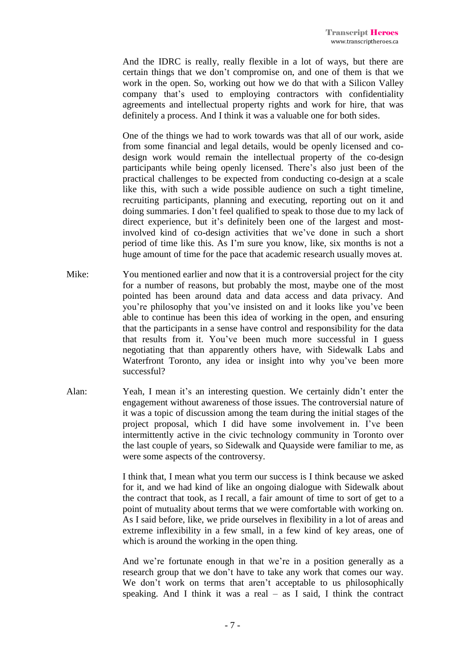And the IDRC is really, really flexible in a lot of ways, but there are certain things that we don't compromise on, and one of them is that we work in the open. So, working out how we do that with a Silicon Valley company that's used to employing contractors with confidentiality agreements and intellectual property rights and work for hire, that was definitely a process. And I think it was a valuable one for both sides.

One of the things we had to work towards was that all of our work, aside from some financial and legal details, would be openly licensed and codesign work would remain the intellectual property of the co-design participants while being openly licensed. There's also just been of the practical challenges to be expected from conducting co-design at a scale like this, with such a wide possible audience on such a tight timeline, recruiting participants, planning and executing, reporting out on it and doing summaries. I don't feel qualified to speak to those due to my lack of direct experience, but it's definitely been one of the largest and mostinvolved kind of co-design activities that we've done in such a short period of time like this. As I'm sure you know, like, six months is not a huge amount of time for the pace that academic research usually moves at.

- Mike: You mentioned earlier and now that it is a controversial project for the city for a number of reasons, but probably the most, maybe one of the most pointed has been around data and data access and data privacy. And you're philosophy that you've insisted on and it looks like you've been able to continue has been this idea of working in the open, and ensuring that the participants in a sense have control and responsibility for the data that results from it. You've been much more successful in I guess negotiating that than apparently others have, with Sidewalk Labs and Waterfront Toronto, any idea or insight into why you've been more successful?
- Alan: Yeah, I mean it's an interesting question. We certainly didn't enter the engagement without awareness of those issues. The controversial nature of it was a topic of discussion among the team during the initial stages of the project proposal, which I did have some involvement in. I've been intermittently active in the civic technology community in Toronto over the last couple of years, so Sidewalk and Quayside were familiar to me, as were some aspects of the controversy.

I think that, I mean what you term our success is I think because we asked for it, and we had kind of like an ongoing dialogue with Sidewalk about the contract that took, as I recall, a fair amount of time to sort of get to a point of mutuality about terms that we were comfortable with working on. As I said before, like, we pride ourselves in flexibility in a lot of areas and extreme inflexibility in a few small, in a few kind of key areas, one of which is around the working in the open thing.

And we're fortunate enough in that we're in a position generally as a research group that we don't have to take any work that comes our way. We don't work on terms that aren't acceptable to us philosophically speaking. And I think it was a real  $-$  as I said, I think the contract